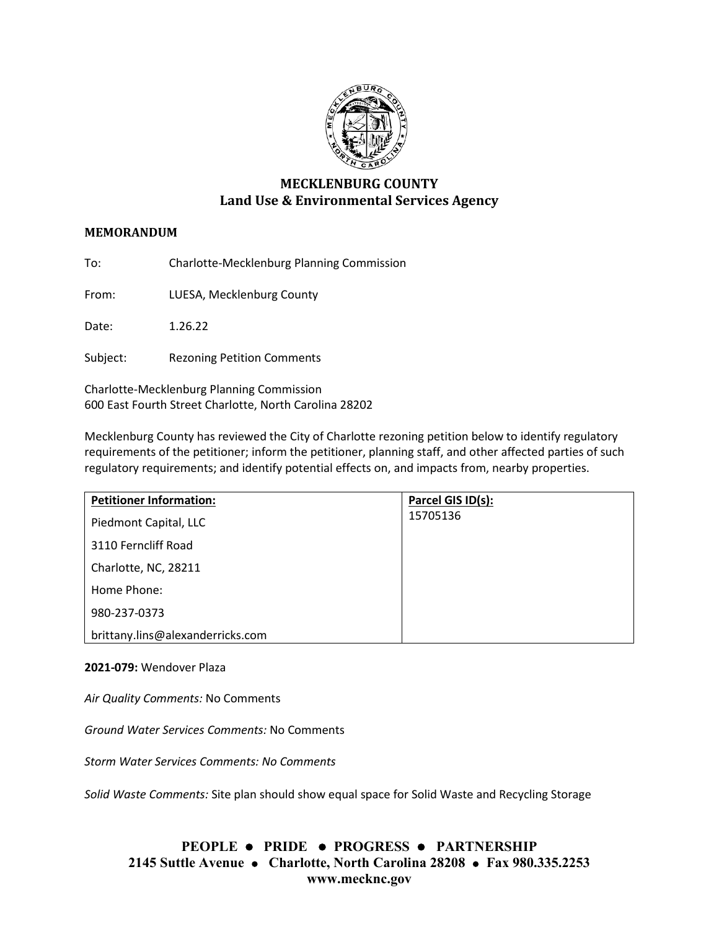

# **MECKLENBURG COUNTY Land Use & Environmental Services Agency**

## **MEMORANDUM**

To: Charlotte-Mecklenburg Planning Commission

From: LUESA, Mecklenburg County

Date: 1.26.22

Subject: Rezoning Petition Comments

Charlotte-Mecklenburg Planning Commission 600 East Fourth Street Charlotte, North Carolina 28202

Mecklenburg County has reviewed the City of Charlotte rezoning petition below to identify regulatory requirements of the petitioner; inform the petitioner, planning staff, and other affected parties of such regulatory requirements; and identify potential effects on, and impacts from, nearby properties.

| <b>Petitioner Information:</b>   | Parcel GIS ID(s): |
|----------------------------------|-------------------|
| Piedmont Capital, LLC            | 15705136          |
| 3110 Ferncliff Road              |                   |
| Charlotte, NC, 28211             |                   |
| Home Phone:                      |                   |
| 980-237-0373                     |                   |
| brittany.lins@alexanderricks.com |                   |

#### **2021-079:** Wendover Plaza

*Air Quality Comments:* No Comments

*Ground Water Services Comments:* No Comments

*Storm Water Services Comments: No Comments*

*Solid Waste Comments:* Site plan should show equal space for Solid Waste and Recycling Storage

# **PEOPLE PRIDE PROGRESS PARTNERSHIP 2145 Suttle Avenue Charlotte, North Carolina 28208 Fax 980.335.2253 www.mecknc.gov**